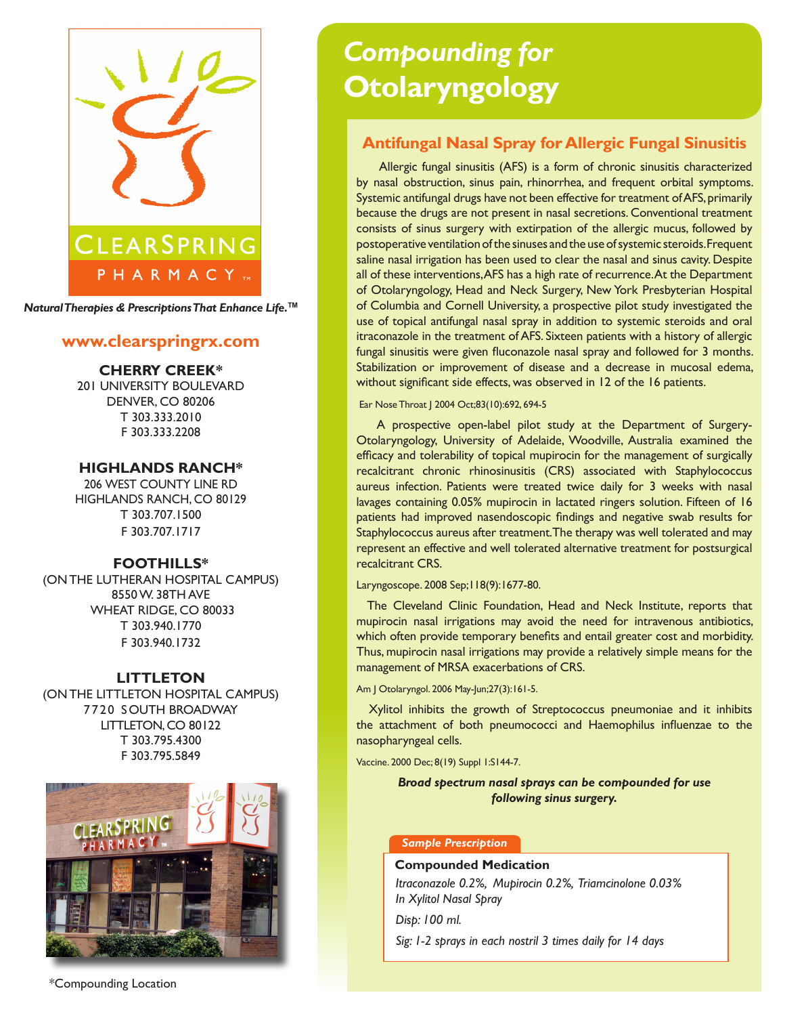

*Natural Therapies & Prescriptions That Enhance Life.***TM**

# **www.clearspringrx.com**

## **CHERRY CREEK\***

201 UNIVERSITY BOULEVARD DENVER, CO 80206 T 303.333.2010 F 303.333.2208

## **HIGHLANDS RANCH\***

206 WEST COUNTY LINE RD HIGHLANDS RANCH, CO 80129 T 303.707.1500 F 303.707.1717

## **FOOTHILLS\***

(ON THE LUTHERAN HOSPITAL CAMPUS) 8550 W. 38TH AVE WHEAT RIDGE, CO 80033 T 303.940.1770 F 303.940.1732

#### **LITTLETON**

(ON THE LITTLETON HOSPITAL CAMPUS) 7720 SOUTH BROADWAY LITTLETON, CO 80122 T 303.795.4300 F 303.795.5849



# *Compounding for* **Otolaryngology**

# **Antifungal Nasal Spray for Allergic Fungal Sinusitis**

 Allergic fungal sinusitis (AFS) is a form of chronic sinusitis characterized by nasal obstruction, sinus pain, rhinorrhea, and frequent orbital symptoms. Systemic antifungal drugs have not been effective for treatment of AFS, primarily because the drugs are not present in nasal secretions. Conventional treatment consists of sinus surgery with extirpation of the allergic mucus, followed by postoperative ventilation of the sinuses and the use of systemic steroids. Frequent saline nasal irrigation has been used to clear the nasal and sinus cavity. Despite all of these interventions, AFS has a high rate of recurrence. At the Department of Otolaryngology, Head and Neck Surgery, New York Presbyterian Hospital of Columbia and Cornell University, a prospective pilot study investigated the use of topical antifungal nasal spray in addition to systemic steroids and oral itraconazole in the treatment of AFS. Sixteen patients with a history of allergic fungal sinusitis were given fluconazole nasal spray and followed for 3 months. Stabilization or improvement of disease and a decrease in mucosal edema, without significant side effects, was observed in 12 of the 16 patients.

Ear Nose Throat | 2004 Oct;83(10):692, 694-5

 A prospective open-label pilot study at the Department of Surgery-Otolaryngology, University of Adelaide, Woodville, Australia examined the efficacy and tolerability of topical mupirocin for the management of surgically recalcitrant chronic rhinosinusitis (CRS) associated with Staphylococcus aureus infection. Patients were treated twice daily for 3 weeks with nasal lavages containing 0.05% mupirocin in lactated ringers solution. Fifteen of 16 patients had improved nasendoscopic findings and negative swab results for Staphylococcus aureus after treatment. The therapy was well tolerated and may represent an effective and well tolerated alternative treatment for postsurgical recalcitrant CRS.

#### Laryngoscope. 2008 Sep;118(9):1677-80.

 The Cleveland Clinic Foundation, Head and Neck Institute, reports that mupirocin nasal irrigations may avoid the need for intravenous antibiotics, which often provide temporary benefits and entail greater cost and morbidity. Thus, mupirocin nasal irrigations may provide a relatively simple means for the management of MRSA exacerbations of CRS.

#### Am J Otolaryngol. 2006 May-Jun;27(3):161-5.

 Xylitol inhibits the growth of Streptococcus pneumoniae and it inhibits the attachment of both pneumococci and Haemophilus influenzae to the nasopharyngeal cells.

Vaccine. 2000 Dec; 8(19) Suppl 1:S144-7.

## *Broad spectrum nasal sprays can be compounded for use following sinus surgery.*

#### *Sample Prescription*

### **Compounded Medication**

*Itraconazole 0.2%, Mupirocin 0.2%, Triamcinolone 0.03% In Xylitol Nasal Spray* 

*Disp: 100 ml.* 

*Sig: 1-2 sprays in each nostril 3 times daily for 14 days*

\*Compounding Location